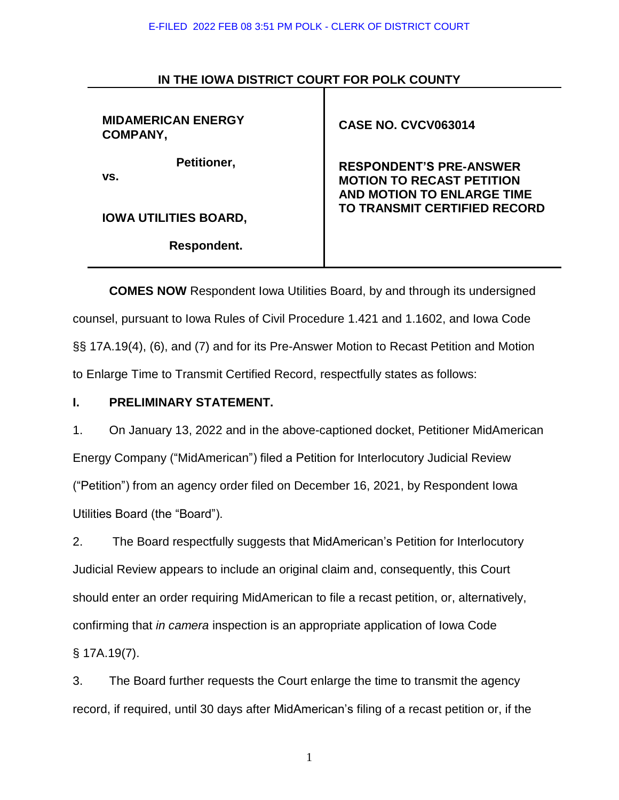#### E-FILED 2022 FEB 08 3:51 PM POLK - CLERK OF DISTRICT COURT

| <b>MIDAMERICAN ENERGY</b><br>COMPANY, | <b>CASE NO. CVCV063014</b>                                                                       |  |
|---------------------------------------|--------------------------------------------------------------------------------------------------|--|
| Petitioner,<br>VS.                    | <b>RESPONDENT'S PRE-ANSWER</b><br><b>MOTION TO RECAST PETITION</b><br>AND MOTION TO ENLARGE TIME |  |
| <b>IOWA UTILITIES BOARD,</b>          | <b>TO TRANSMIT CERTIFIED RECORD</b>                                                              |  |
| Respondent.                           |                                                                                                  |  |
|                                       |                                                                                                  |  |

## **IN THE IOWA DISTRICT COURT FOR POLK COUNTY**

**COMES NOW** Respondent Iowa Utilities Board, by and through its undersigned counsel, pursuant to Iowa Rules of Civil Procedure 1.421 and 1.1602, and Iowa Code §§ 17A.19(4), (6), and (7) and for its Pre-Answer Motion to Recast Petition and Motion to Enlarge Time to Transmit Certified Record, respectfully states as follows:

## **I. PRELIMINARY STATEMENT.**

1. On January 13, 2022 and in the above-captioned docket, Petitioner MidAmerican Energy Company ("MidAmerican") filed a Petition for Interlocutory Judicial Review ("Petition") from an agency order filed on December 16, 2021, by Respondent Iowa Utilities Board (the "Board").

2. The Board respectfully suggests that MidAmerican's Petition for Interlocutory Judicial Review appears to include an original claim and, consequently, this Court should enter an order requiring MidAmerican to file a recast petition, or, alternatively, confirming that *in camera* inspection is an appropriate application of Iowa Code § 17A.19(7).

3. The Board further requests the Court enlarge the time to transmit the agency record, if required, until 30 days after MidAmerican's filing of a recast petition or, if the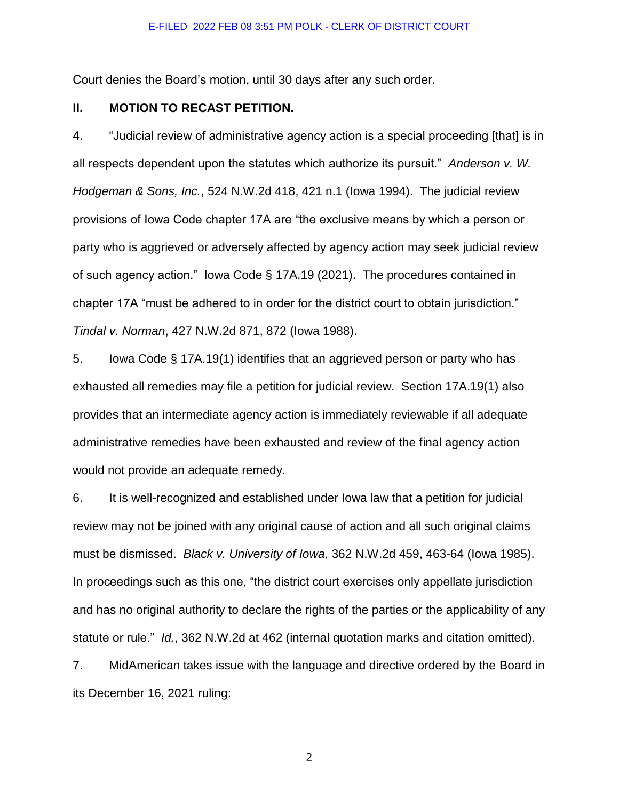Court denies the Board's motion, until 30 days after any such order.

### **II. MOTION TO RECAST PETITION.**

4. "Judicial review of administrative agency action is a special proceeding [that] is in all respects dependent upon the statutes which authorize its pursuit." *Anderson v. W. Hodgeman & Sons, Inc.*, 524 N.W.2d 418, 421 n.1 (Iowa 1994). The judicial review provisions of Iowa Code chapter 17A are "the exclusive means by which a person or party who is aggrieved or adversely affected by agency action may seek judicial review of such agency action." Iowa Code § 17A.19 (2021). The procedures contained in chapter 17A "must be adhered to in order for the district court to obtain jurisdiction." *Tindal v. Norman*, 427 N.W.2d 871, 872 (Iowa 1988).

5. Iowa Code § 17A.19(1) identifies that an aggrieved person or party who has exhausted all remedies may file a petition for judicial review. Section 17A.19(1) also provides that an intermediate agency action is immediately reviewable if all adequate administrative remedies have been exhausted and review of the final agency action would not provide an adequate remedy.

6. It is well-recognized and established under Iowa law that a petition for judicial review may not be joined with any original cause of action and all such original claims must be dismissed. *Black v. University of Iowa*, 362 N.W.2d 459, 463-64 (Iowa 1985). In proceedings such as this one, "the district court exercises only appellate jurisdiction and has no original authority to declare the rights of the parties or the applicability of any statute or rule." *Id.*, 362 N.W.2d at 462 (internal quotation marks and citation omitted).

7. MidAmerican takes issue with the language and directive ordered by the Board in its December 16, 2021 ruling: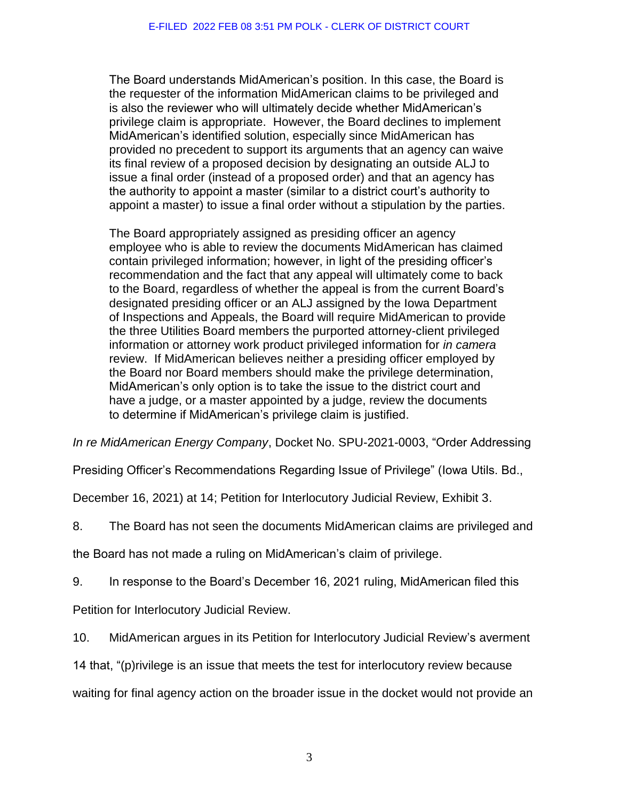The Board understands MidAmerican's position. In this case, the Board is the requester of the information MidAmerican claims to be privileged and is also the reviewer who will ultimately decide whether MidAmerican's privilege claim is appropriate. However, the Board declines to implement MidAmerican's identified solution, especially since MidAmerican has provided no precedent to support its arguments that an agency can waive its final review of a proposed decision by designating an outside ALJ to issue a final order (instead of a proposed order) and that an agency has the authority to appoint a master (similar to a district court's authority to appoint a master) to issue a final order without a stipulation by the parties.

The Board appropriately assigned as presiding officer an agency employee who is able to review the documents MidAmerican has claimed contain privileged information; however, in light of the presiding officer's recommendation and the fact that any appeal will ultimately come to back to the Board, regardless of whether the appeal is from the current Board's designated presiding officer or an ALJ assigned by the Iowa Department of Inspections and Appeals, the Board will require MidAmerican to provide the three Utilities Board members the purported attorney-client privileged information or attorney work product privileged information for *in camera*  review. If MidAmerican believes neither a presiding officer employed by the Board nor Board members should make the privilege determination, MidAmerican's only option is to take the issue to the district court and have a judge, or a master appointed by a judge, review the documents to determine if MidAmerican's privilege claim is justified.

*In re MidAmerican Energy Company*, Docket No. SPU-2021-0003, "Order Addressing

Presiding Officer's Recommendations Regarding Issue of Privilege" (Iowa Utils. Bd.,

December 16, 2021) at 14; Petition for Interlocutory Judicial Review, Exhibit 3.

8. The Board has not seen the documents MidAmerican claims are privileged and

the Board has not made a ruling on MidAmerican's claim of privilege.

9. In response to the Board's December 16, 2021 ruling, MidAmerican filed this

Petition for Interlocutory Judicial Review.

10. MidAmerican argues in its Petition for Interlocutory Judicial Review's averment

14 that, "(p)rivilege is an issue that meets the test for interlocutory review because

waiting for final agency action on the broader issue in the docket would not provide an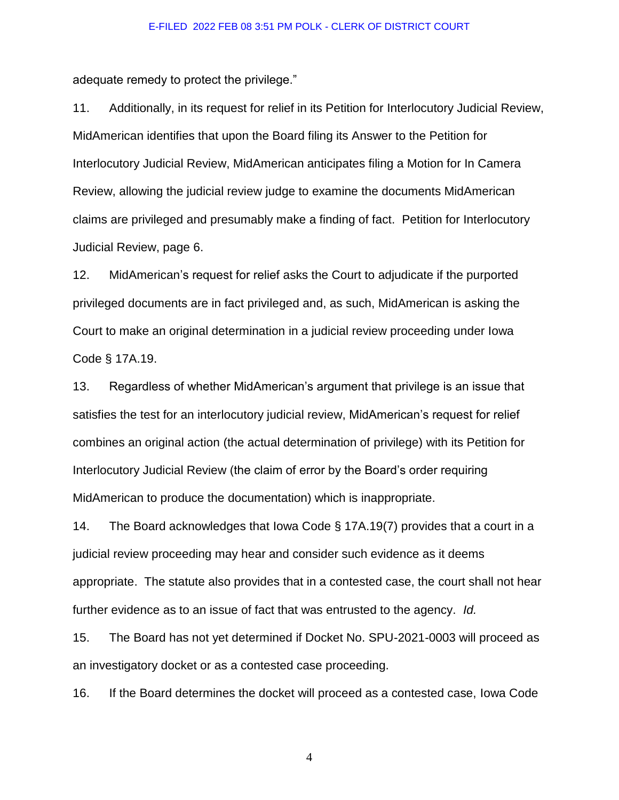adequate remedy to protect the privilege."

11. Additionally, in its request for relief in its Petition for Interlocutory Judicial Review, MidAmerican identifies that upon the Board filing its Answer to the Petition for Interlocutory Judicial Review, MidAmerican anticipates filing a Motion for In Camera Review, allowing the judicial review judge to examine the documents MidAmerican claims are privileged and presumably make a finding of fact. Petition for Interlocutory Judicial Review, page 6.

12. MidAmerican's request for relief asks the Court to adjudicate if the purported privileged documents are in fact privileged and, as such, MidAmerican is asking the Court to make an original determination in a judicial review proceeding under Iowa Code § 17A.19.

13. Regardless of whether MidAmerican's argument that privilege is an issue that satisfies the test for an interlocutory judicial review, MidAmerican's request for relief combines an original action (the actual determination of privilege) with its Petition for Interlocutory Judicial Review (the claim of error by the Board's order requiring MidAmerican to produce the documentation) which is inappropriate.

14. The Board acknowledges that Iowa Code § 17A.19(7) provides that a court in a judicial review proceeding may hear and consider such evidence as it deems appropriate. The statute also provides that in a contested case, the court shall not hear further evidence as to an issue of fact that was entrusted to the agency. *Id.*

15. The Board has not yet determined if Docket No. SPU-2021-0003 will proceed as an investigatory docket or as a contested case proceeding.

16. If the Board determines the docket will proceed as a contested case, Iowa Code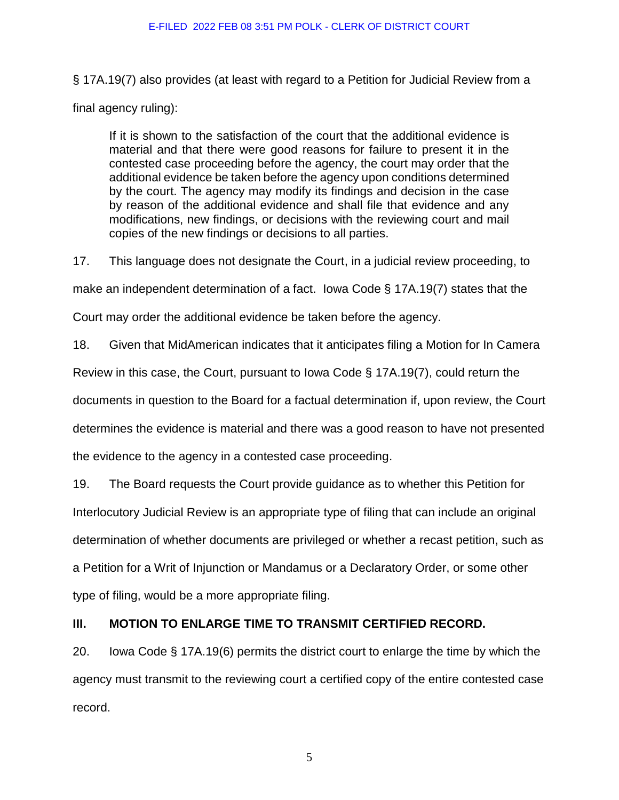§ 17A.19(7) also provides (at least with regard to a Petition for Judicial Review from a final agency ruling):

If it is shown to the satisfaction of the court that the additional evidence is material and that there were good reasons for failure to present it in the contested case proceeding before the agency, the court may order that the additional evidence be taken before the agency upon conditions determined by the court. The agency may modify its findings and decision in the case by reason of the additional evidence and shall file that evidence and any modifications, new findings, or decisions with the reviewing court and mail copies of the new findings or decisions to all parties.

17. This language does not designate the Court, in a judicial review proceeding, to

make an independent determination of a fact. Iowa Code § 17A.19(7) states that the

Court may order the additional evidence be taken before the agency.

18. Given that MidAmerican indicates that it anticipates filing a Motion for In Camera

Review in this case, the Court, pursuant to Iowa Code § 17A.19(7), could return the

documents in question to the Board for a factual determination if, upon review, the Court

determines the evidence is material and there was a good reason to have not presented

the evidence to the agency in a contested case proceeding.

19. The Board requests the Court provide guidance as to whether this Petition for

Interlocutory Judicial Review is an appropriate type of filing that can include an original

determination of whether documents are privileged or whether a recast petition, such as

a Petition for a Writ of Injunction or Mandamus or a Declaratory Order, or some other

type of filing, would be a more appropriate filing.

# **III. MOTION TO ENLARGE TIME TO TRANSMIT CERTIFIED RECORD.**

20. Iowa Code § 17A.19(6) permits the district court to enlarge the time by which the agency must transmit to the reviewing court a certified copy of the entire contested case record.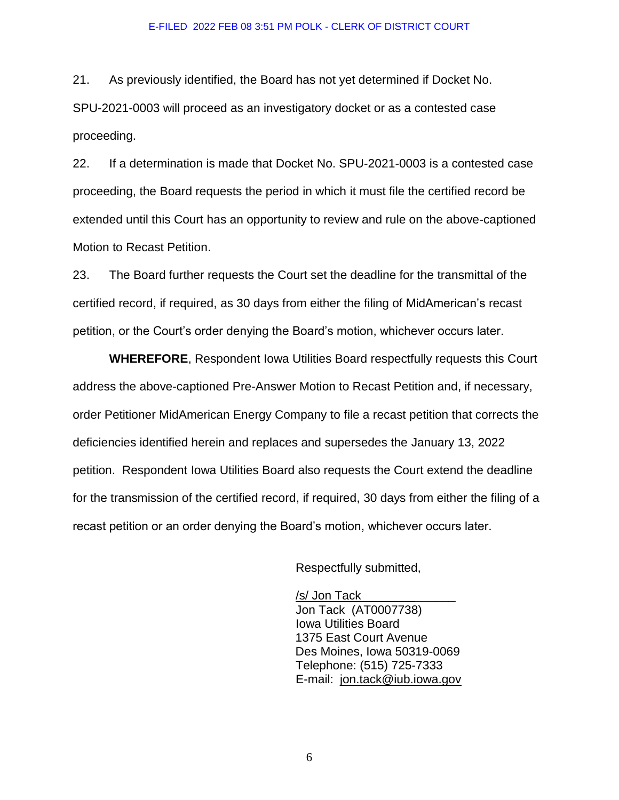#### E-FILED 2022 FEB 08 3:51 PM POLK - CLERK OF DISTRICT COURT

21. As previously identified, the Board has not yet determined if Docket No. SPU-2021-0003 will proceed as an investigatory docket or as a contested case proceeding.

22. If a determination is made that Docket No. SPU-2021-0003 is a contested case proceeding, the Board requests the period in which it must file the certified record be extended until this Court has an opportunity to review and rule on the above-captioned Motion to Recast Petition.

23. The Board further requests the Court set the deadline for the transmittal of the certified record, if required, as 30 days from either the filing of MidAmerican's recast petition, or the Court's order denying the Board's motion, whichever occurs later.

**WHEREFORE**, Respondent Iowa Utilities Board respectfully requests this Court address the above-captioned Pre-Answer Motion to Recast Petition and, if necessary, order Petitioner MidAmerican Energy Company to file a recast petition that corrects the deficiencies identified herein and replaces and supersedes the January 13, 2022 petition. Respondent Iowa Utilities Board also requests the Court extend the deadline for the transmission of the certified record, if required, 30 days from either the filing of a recast petition or an order denying the Board's motion, whichever occurs later.

Respectfully submitted,

/s/ Jon Tack Jon Tack (AT0007738) Iowa Utilities Board 1375 East Court Avenue Des Moines, Iowa 50319-0069 Telephone: (515) 725-7333 E-mail: [jon.tack@iub.iowa.gov](mailto:jon.tack@iub.iowa.gov)